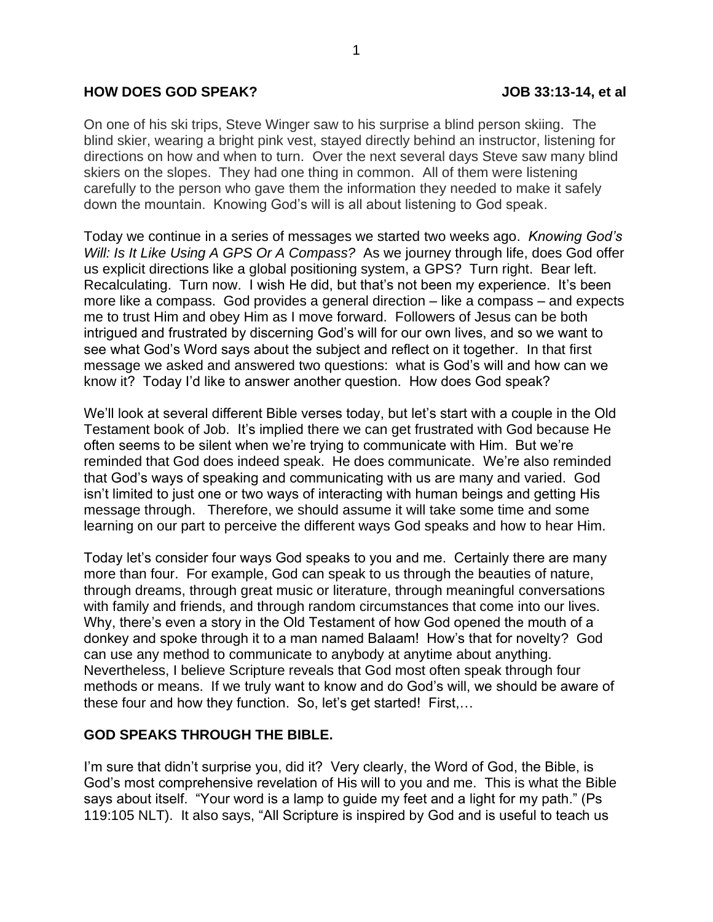## **HOW DOES GOD SPEAK? JOB 33:13-14, et al**

On one of his ski trips, Steve Winger saw to his surprise a blind person skiing. The blind skier, wearing a bright pink vest, stayed directly behind an instructor, listening for directions on how and when to turn. Over the next several days Steve saw many blind skiers on the slopes. They had one thing in common. All of them were listening carefully to the person who gave them the information they needed to make it safely down the mountain. Knowing God's will is all about listening to God speak.

Today we continue in a series of messages we started two weeks ago. *Knowing God's Will: Is It Like Using A GPS Or A Compass?* As we journey through life, does God offer us explicit directions like a global positioning system, a GPS? Turn right. Bear left. Recalculating. Turn now. I wish He did, but that's not been my experience. It's been more like a compass. God provides a general direction – like a compass – and expects me to trust Him and obey Him as I move forward. Followers of Jesus can be both intrigued and frustrated by discerning God's will for our own lives, and so we want to see what God's Word says about the subject and reflect on it together. In that first message we asked and answered two questions: what is God's will and how can we know it? Today I'd like to answer another question. How does God speak?

We'll look at several different Bible verses today, but let's start with a couple in the Old Testament book of Job. It's implied there we can get frustrated with God because He often seems to be silent when we're trying to communicate with Him. But we're reminded that God does indeed speak. He does communicate. We're also reminded that God's ways of speaking and communicating with us are many and varied. God isn't limited to just one or two ways of interacting with human beings and getting His message through. Therefore, we should assume it will take some time and some learning on our part to perceive the different ways God speaks and how to hear Him.

Today let's consider four ways God speaks to you and me. Certainly there are many more than four. For example, God can speak to us through the beauties of nature, through dreams, through great music or literature, through meaningful conversations with family and friends, and through random circumstances that come into our lives. Why, there's even a story in the Old Testament of how God opened the mouth of a donkey and spoke through it to a man named Balaam! How's that for novelty? God can use any method to communicate to anybody at anytime about anything. Nevertheless, I believe Scripture reveals that God most often speak through four methods or means. If we truly want to know and do God's will, we should be aware of these four and how they function. So, let's get started! First,…

# **GOD SPEAKS THROUGH THE BIBLE.**

I'm sure that didn't surprise you, did it? Very clearly, the Word of God, the Bible, is God's most comprehensive revelation of His will to you and me. This is what the Bible says about itself. "Your word is a lamp to guide my feet and a light for my path." (Ps 119:105 NLT). It also says, "All Scripture is inspired by God and is useful to teach us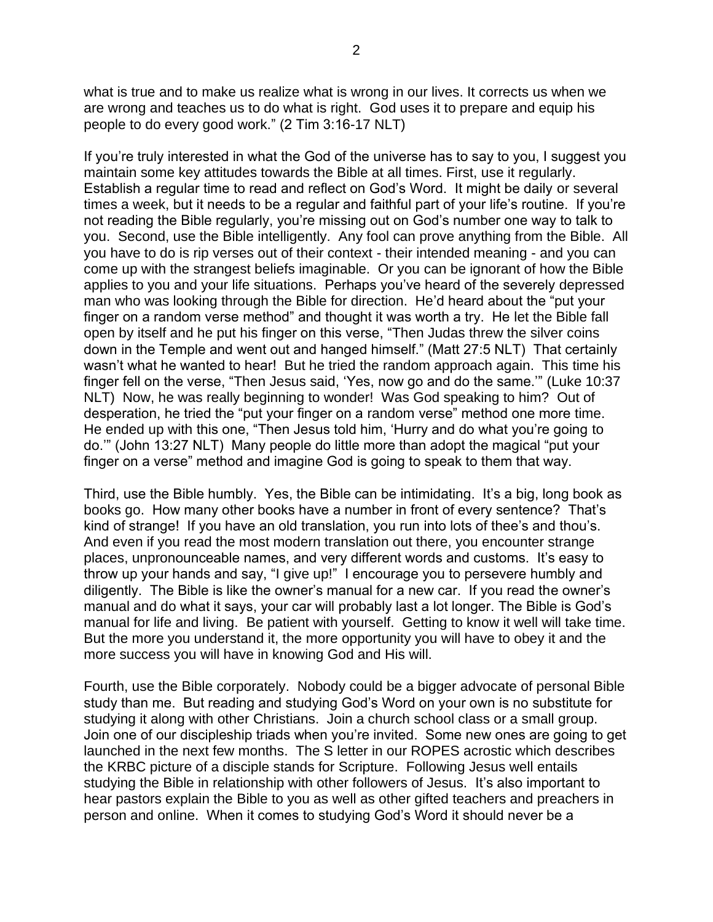what is true and to make us realize what is wrong in our lives. It corrects us when we are wrong and teaches us to do what is right. God uses it to prepare and equip his people to do every good work." (2 Tim 3:16-17 NLT)

If you're truly interested in what the God of the universe has to say to you, I suggest you maintain some key attitudes towards the Bible at all times. First, use it regularly. Establish a regular time to read and reflect on God's Word. It might be daily or several times a week, but it needs to be a regular and faithful part of your life's routine. If you're not reading the Bible regularly, you're missing out on God's number one way to talk to you. Second, use the Bible intelligently. Any fool can prove anything from the Bible. All you have to do is rip verses out of their context - their intended meaning - and you can come up with the strangest beliefs imaginable. Or you can be ignorant of how the Bible applies to you and your life situations. Perhaps you've heard of the severely depressed man who was looking through the Bible for direction. He'd heard about the "put your finger on a random verse method" and thought it was worth a try. He let the Bible fall open by itself and he put his finger on this verse, "Then Judas threw the silver coins down in the Temple and went out and hanged himself." (Matt 27:5 NLT) That certainly wasn't what he wanted to hear! But he tried the random approach again. This time his finger fell on the verse, "Then Jesus said, 'Yes, now go and do the same.'" (Luke 10:37 NLT) Now, he was really beginning to wonder! Was God speaking to him? Out of desperation, he tried the "put your finger on a random verse" method one more time. He ended up with this one, "Then Jesus told him, 'Hurry and do what you're going to do.'" (John 13:27 NLT) Many people do little more than adopt the magical "put your finger on a verse" method and imagine God is going to speak to them that way.

Third, use the Bible humbly. Yes, the Bible can be intimidating. It's a big, long book as books go. How many other books have a number in front of every sentence? That's kind of strange! If you have an old translation, you run into lots of thee's and thou's. And even if you read the most modern translation out there, you encounter strange places, unpronounceable names, and very different words and customs. It's easy to throw up your hands and say, "I give up!" I encourage you to persevere humbly and diligently. The Bible is like the owner's manual for a new car. If you read the owner's manual and do what it says, your car will probably last a lot longer. The Bible is God's manual for life and living. Be patient with yourself. Getting to know it well will take time. But the more you understand it, the more opportunity you will have to obey it and the more success you will have in knowing God and His will.

Fourth, use the Bible corporately. Nobody could be a bigger advocate of personal Bible study than me. But reading and studying God's Word on your own is no substitute for studying it along with other Christians. Join a church school class or a small group. Join one of our discipleship triads when you're invited. Some new ones are going to get launched in the next few months. The S letter in our ROPES acrostic which describes the KRBC picture of a disciple stands for Scripture. Following Jesus well entails studying the Bible in relationship with other followers of Jesus. It's also important to hear pastors explain the Bible to you as well as other gifted teachers and preachers in person and online. When it comes to studying God's Word it should never be a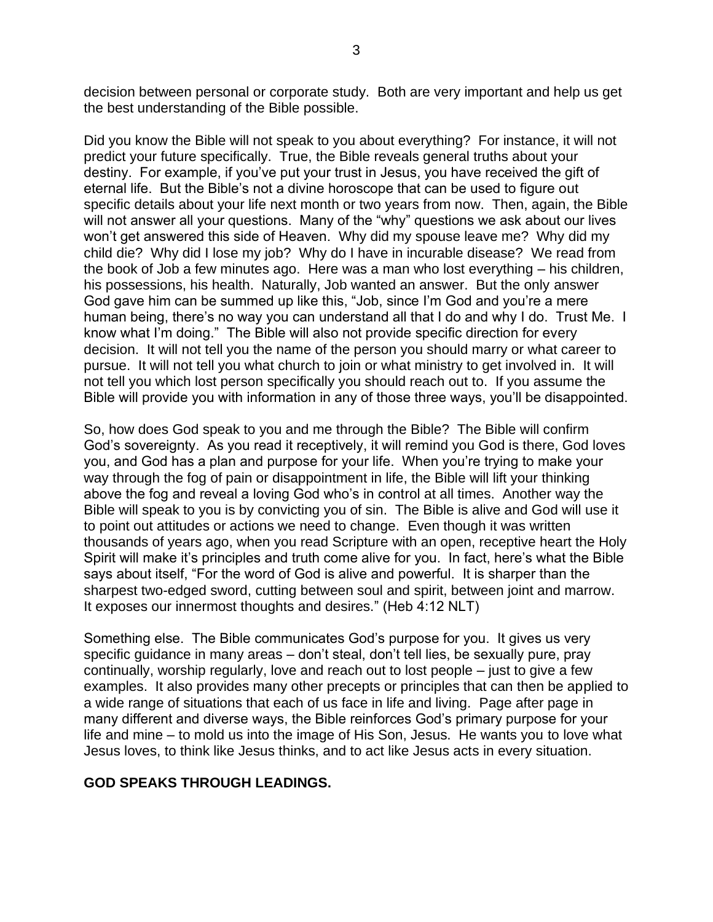decision between personal or corporate study. Both are very important and help us get the best understanding of the Bible possible.

Did you know the Bible will not speak to you about everything? For instance, it will not predict your future specifically. True, the Bible reveals general truths about your destiny. For example, if you've put your trust in Jesus, you have received the gift of eternal life. But the Bible's not a divine horoscope that can be used to figure out specific details about your life next month or two years from now. Then, again, the Bible will not answer all your questions. Many of the "why" questions we ask about our lives won't get answered this side of Heaven. Why did my spouse leave me? Why did my child die? Why did I lose my job? Why do I have in incurable disease? We read from the book of Job a few minutes ago. Here was a man who lost everything – his children, his possessions, his health. Naturally, Job wanted an answer. But the only answer God gave him can be summed up like this, "Job, since I'm God and you're a mere human being, there's no way you can understand all that I do and why I do. Trust Me. I know what I'm doing." The Bible will also not provide specific direction for every decision. It will not tell you the name of the person you should marry or what career to pursue. It will not tell you what church to join or what ministry to get involved in. It will not tell you which lost person specifically you should reach out to. If you assume the Bible will provide you with information in any of those three ways, you'll be disappointed.

So, how does God speak to you and me through the Bible? The Bible will confirm God's sovereignty. As you read it receptively, it will remind you God is there, God loves you, and God has a plan and purpose for your life. When you're trying to make your way through the fog of pain or disappointment in life, the Bible will lift your thinking above the fog and reveal a loving God who's in control at all times. Another way the Bible will speak to you is by convicting you of sin. The Bible is alive and God will use it to point out attitudes or actions we need to change. Even though it was written thousands of years ago, when you read Scripture with an open, receptive heart the Holy Spirit will make it's principles and truth come alive for you. In fact, here's what the Bible says about itself, "For the word of God is alive and powerful. It is sharper than the sharpest two-edged sword, cutting between soul and spirit, between joint and marrow. It exposes our innermost thoughts and desires." (Heb 4:12 NLT)

Something else. The Bible communicates God's purpose for you. It gives us very specific guidance in many areas – don't steal, don't tell lies, be sexually pure, pray continually, worship regularly, love and reach out to lost people – just to give a few examples. It also provides many other precepts or principles that can then be applied to a wide range of situations that each of us face in life and living. Page after page in many different and diverse ways, the Bible reinforces God's primary purpose for your life and mine – to mold us into the image of His Son, Jesus. He wants you to love what Jesus loves, to think like Jesus thinks, and to act like Jesus acts in every situation.

# **GOD SPEAKS THROUGH LEADINGS.**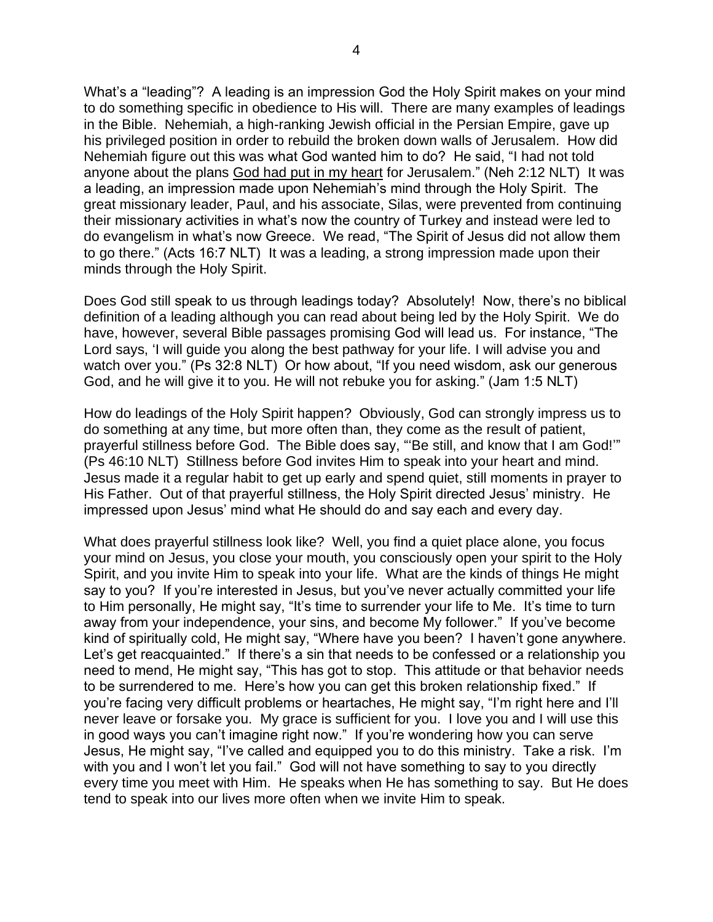What's a "leading"? A leading is an impression God the Holy Spirit makes on your mind to do something specific in obedience to His will. There are many examples of leadings in the Bible. Nehemiah, a high-ranking Jewish official in the Persian Empire, gave up his privileged position in order to rebuild the broken down walls of Jerusalem. How did Nehemiah figure out this was what God wanted him to do? He said, "I had not told anyone about the plans God had put in my heart for Jerusalem." (Neh 2:12 NLT) It was a leading, an impression made upon Nehemiah's mind through the Holy Spirit. The great missionary leader, Paul, and his associate, Silas, were prevented from continuing their missionary activities in what's now the country of Turkey and instead were led to do evangelism in what's now Greece. We read, "The Spirit of Jesus did not allow them to go there." (Acts 16:7 NLT) It was a leading, a strong impression made upon their minds through the Holy Spirit.

Does God still speak to us through leadings today? Absolutely! Now, there's no biblical definition of a leading although you can read about being led by the Holy Spirit. We do have, however, several Bible passages promising God will lead us. For instance, "The Lord says, 'I will guide you along the best pathway for your life. I will advise you and watch over you." (Ps 32:8 NLT) Or how about, "If you need wisdom, ask our generous God, and he will give it to you. He will not rebuke you for asking." (Jam 1:5 NLT)

How do leadings of the Holy Spirit happen? Obviously, God can strongly impress us to do something at any time, but more often than, they come as the result of patient, prayerful stillness before God. The Bible does say, "'Be still, and know that I am God!'" (Ps 46:10 NLT) Stillness before God invites Him to speak into your heart and mind. Jesus made it a regular habit to get up early and spend quiet, still moments in prayer to His Father. Out of that prayerful stillness, the Holy Spirit directed Jesus' ministry. He impressed upon Jesus' mind what He should do and say each and every day.

What does prayerful stillness look like? Well, you find a quiet place alone, you focus your mind on Jesus, you close your mouth, you consciously open your spirit to the Holy Spirit, and you invite Him to speak into your life. What are the kinds of things He might say to you? If you're interested in Jesus, but you've never actually committed your life to Him personally, He might say, "It's time to surrender your life to Me. It's time to turn away from your independence, your sins, and become My follower." If you've become kind of spiritually cold, He might say, "Where have you been? I haven't gone anywhere. Let's get reacquainted." If there's a sin that needs to be confessed or a relationship you need to mend, He might say, "This has got to stop. This attitude or that behavior needs to be surrendered to me. Here's how you can get this broken relationship fixed." If you're facing very difficult problems or heartaches, He might say, "I'm right here and I'll never leave or forsake you. My grace is sufficient for you. I love you and I will use this in good ways you can't imagine right now." If you're wondering how you can serve Jesus, He might say, "I've called and equipped you to do this ministry. Take a risk. I'm with you and I won't let you fail." God will not have something to say to you directly every time you meet with Him. He speaks when He has something to say. But He does tend to speak into our lives more often when we invite Him to speak.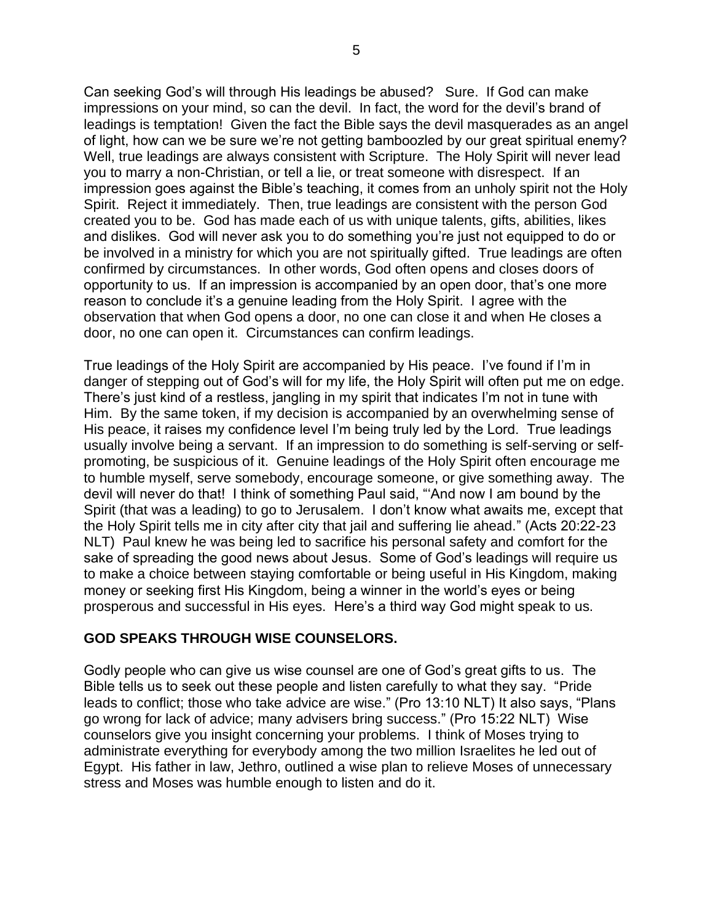Can seeking God's will through His leadings be abused? Sure. If God can make impressions on your mind, so can the devil. In fact, the word for the devil's brand of leadings is temptation! Given the fact the Bible says the devil masquerades as an angel of light, how can we be sure we're not getting bamboozled by our great spiritual enemy? Well, true leadings are always consistent with Scripture. The Holy Spirit will never lead you to marry a non-Christian, or tell a lie, or treat someone with disrespect. If an impression goes against the Bible's teaching, it comes from an unholy spirit not the Holy Spirit. Reject it immediately. Then, true leadings are consistent with the person God created you to be. God has made each of us with unique talents, gifts, abilities, likes and dislikes. God will never ask you to do something you're just not equipped to do or be involved in a ministry for which you are not spiritually gifted. True leadings are often confirmed by circumstances. In other words, God often opens and closes doors of opportunity to us. If an impression is accompanied by an open door, that's one more reason to conclude it's a genuine leading from the Holy Spirit. I agree with the observation that when God opens a door, no one can close it and when He closes a door, no one can open it. Circumstances can confirm leadings.

True leadings of the Holy Spirit are accompanied by His peace. I've found if I'm in danger of stepping out of God's will for my life, the Holy Spirit will often put me on edge. There's just kind of a restless, jangling in my spirit that indicates I'm not in tune with Him. By the same token, if my decision is accompanied by an overwhelming sense of His peace, it raises my confidence level I'm being truly led by the Lord. True leadings usually involve being a servant. If an impression to do something is self-serving or selfpromoting, be suspicious of it. Genuine leadings of the Holy Spirit often encourage me to humble myself, serve somebody, encourage someone, or give something away. The devil will never do that! I think of something Paul said, "'And now I am bound by the Spirit (that was a leading) to go to Jerusalem. I don't know what awaits me, except that the Holy Spirit tells me in city after city that jail and suffering lie ahead." (Acts 20:22-23 NLT) Paul knew he was being led to sacrifice his personal safety and comfort for the sake of spreading the good news about Jesus. Some of God's leadings will require us to make a choice between staying comfortable or being useful in His Kingdom, making money or seeking first His Kingdom, being a winner in the world's eyes or being prosperous and successful in His eyes. Here's a third way God might speak to us.

# **GOD SPEAKS THROUGH WISE COUNSELORS.**

Godly people who can give us wise counsel are one of God's great gifts to us. The Bible tells us to seek out these people and listen carefully to what they say. "Pride leads to conflict; those who take advice are wise." (Pro 13:10 NLT) It also says, "Plans go wrong for lack of advice; many advisers bring success." (Pro 15:22 NLT) Wise counselors give you insight concerning your problems. I think of Moses trying to administrate everything for everybody among the two million Israelites he led out of Egypt. His father in law, Jethro, outlined a wise plan to relieve Moses of unnecessary stress and Moses was humble enough to listen and do it.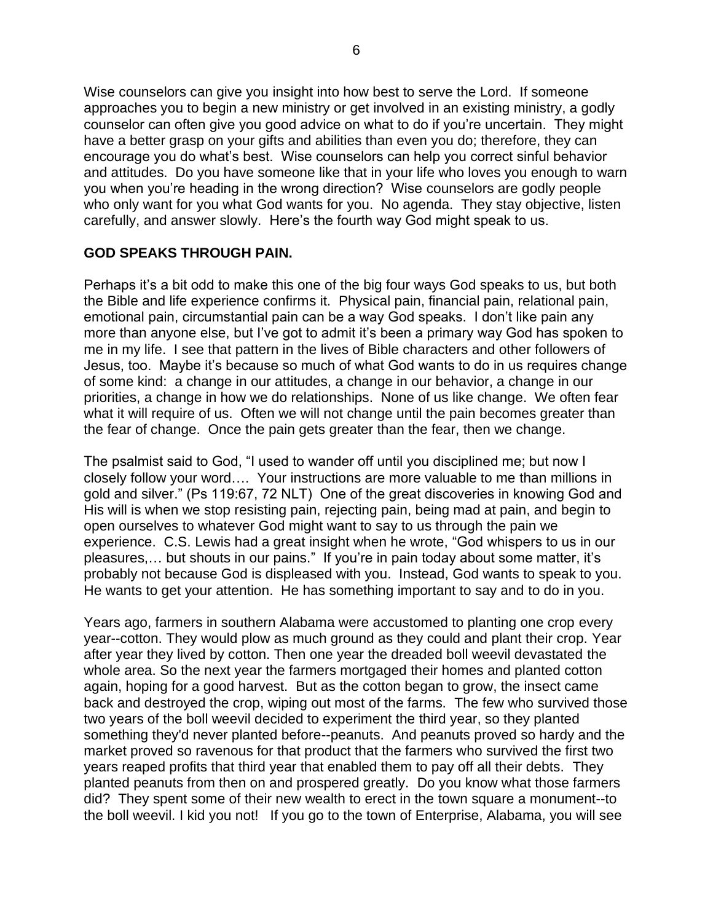Wise counselors can give you insight into how best to serve the Lord. If someone approaches you to begin a new ministry or get involved in an existing ministry, a godly counselor can often give you good advice on what to do if you're uncertain. They might have a better grasp on your gifts and abilities than even you do; therefore, they can encourage you do what's best. Wise counselors can help you correct sinful behavior and attitudes. Do you have someone like that in your life who loves you enough to warn you when you're heading in the wrong direction? Wise counselors are godly people who only want for you what God wants for you. No agenda. They stay objective, listen carefully, and answer slowly. Here's the fourth way God might speak to us.

# **GOD SPEAKS THROUGH PAIN.**

Perhaps it's a bit odd to make this one of the big four ways God speaks to us, but both the Bible and life experience confirms it. Physical pain, financial pain, relational pain, emotional pain, circumstantial pain can be a way God speaks. I don't like pain any more than anyone else, but I've got to admit it's been a primary way God has spoken to me in my life. I see that pattern in the lives of Bible characters and other followers of Jesus, too. Maybe it's because so much of what God wants to do in us requires change of some kind: a change in our attitudes, a change in our behavior, a change in our priorities, a change in how we do relationships. None of us like change. We often fear what it will require of us. Often we will not change until the pain becomes greater than the fear of change. Once the pain gets greater than the fear, then we change.

The psalmist said to God, "I used to wander off until you disciplined me; but now I closely follow your word…. Your instructions are more valuable to me than millions in gold and silver." (Ps 119:67, 72 NLT) One of the great discoveries in knowing God and His will is when we stop resisting pain, rejecting pain, being mad at pain, and begin to open ourselves to whatever God might want to say to us through the pain we experience. C.S. Lewis had a great insight when he wrote, "God whispers to us in our pleasures,… but shouts in our pains." If you're in pain today about some matter, it's probably not because God is displeased with you. Instead, God wants to speak to you. He wants to get your attention. He has something important to say and to do in you.

Years ago, farmers in southern Alabama were accustomed to planting one crop every year--cotton. They would plow as much ground as they could and plant their crop. Year after year they lived by cotton. Then one year the dreaded boll weevil devastated the whole area. So the next year the farmers mortgaged their homes and planted cotton again, hoping for a good harvest. But as the cotton began to grow, the insect came back and destroyed the crop, wiping out most of the farms. The few who survived those two years of the boll weevil decided to experiment the third year, so they planted something they'd never planted before--peanuts. And peanuts proved so hardy and the market proved so ravenous for that product that the farmers who survived the first two years reaped profits that third year that enabled them to pay off all their debts. They planted peanuts from then on and prospered greatly. Do you know what those farmers did? They spent some of their new wealth to erect in the town square a monument--to the boll weevil. I kid you not! If you go to the town of Enterprise, Alabama, you will see